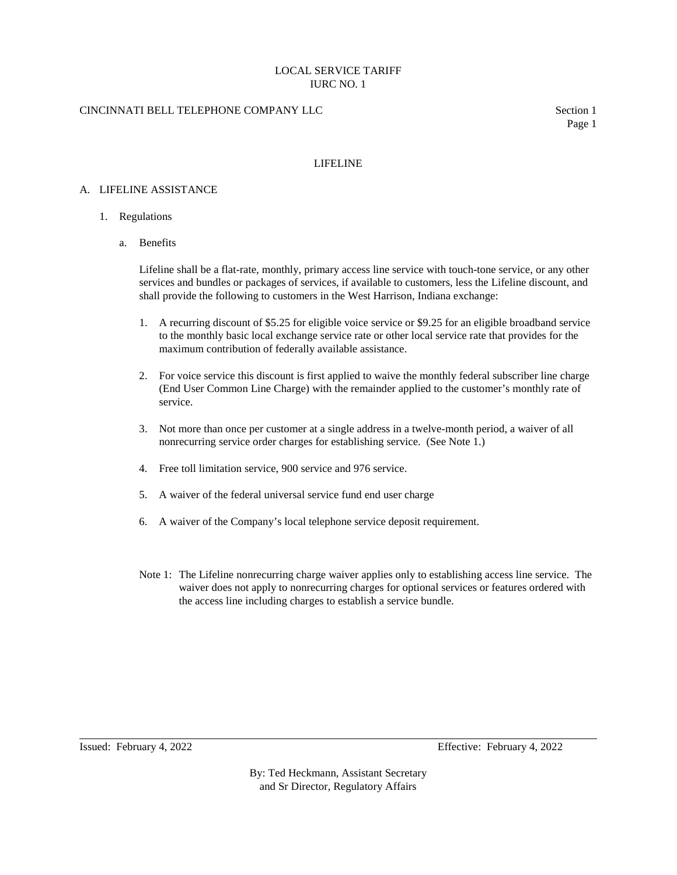# LOCAL SERVICE TARIFF IURC NO. 1

# CINCINNATI BELL TELEPHONE COMPANY LLC Section 1

Page 1

### LIFELINE

### A. LIFELINE ASSISTANCE

- 1. Regulations
	- a. Benefits

Lifeline shall be a flat-rate, monthly, primary access line service with touch-tone service, or any other services and bundles or packages of services, if available to customers, less the Lifeline discount, and shall provide the following to customers in the West Harrison, Indiana exchange:

- 1. A recurring discount of \$5.25 for eligible voice service or \$9.25 for an eligible broadband service to the monthly basic local exchange service rate or other local service rate that provides for the maximum contribution of federally available assistance.
- 2. For voice service this discount is first applied to waive the monthly federal subscriber line charge (End User Common Line Charge) with the remainder applied to the customer's monthly rate of service.
- 3. Not more than once per customer at a single address in a twelve-month period, a waiver of all nonrecurring service order charges for establishing service. (See Note 1.)
- 4. Free toll limitation service, 900 service and 976 service.
- 5. A waiver of the federal universal service fund end user charge
- 6. A waiver of the Company's local telephone service deposit requirement.
- Note 1: The Lifeline nonrecurring charge waiver applies only to establishing access line service. The waiver does not apply to nonrecurring charges for optional services or features ordered with the access line including charges to establish a service bundle.

Issued: February 4, 2022 Effective: February 4, 2022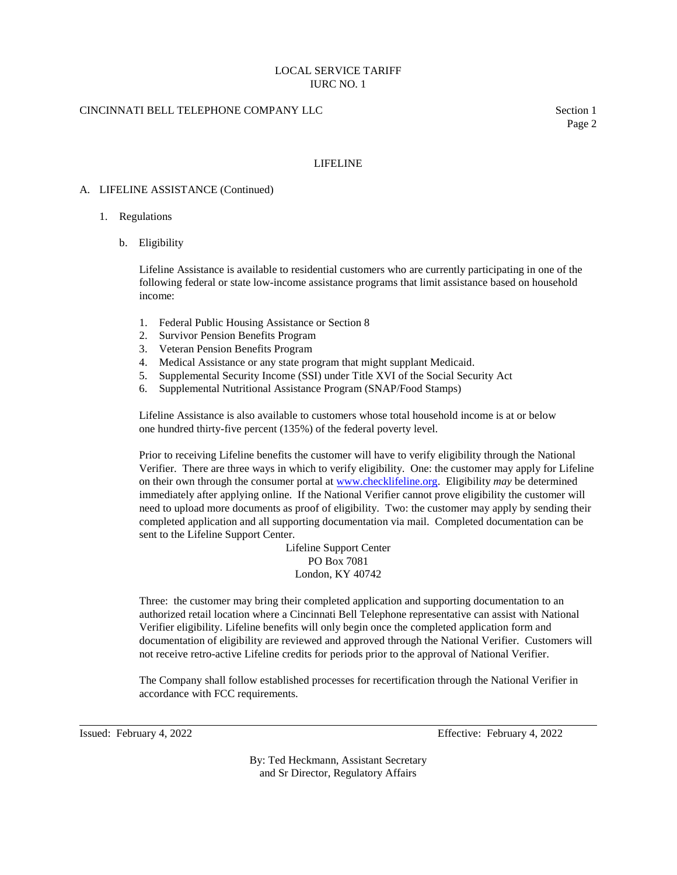# LOCAL SERVICE TARIFF IURC NO. 1

# CINCINNATI BELL TELEPHONE COMPANY LLC Section 1

Page 2

### LIFELINE

#### A. LIFELINE ASSISTANCE (Continued)

#### 1. Regulations

b. Eligibility

Lifeline Assistance is available to residential customers who are currently participating in one of the following federal or state low-income assistance programs that limit assistance based on household income:

- 1. Federal Public Housing Assistance or Section 8
- 2. Survivor Pension Benefits Program
- 3. Veteran Pension Benefits Program
- 4. Medical Assistance or any state program that might supplant Medicaid.
- 5. Supplemental Security Income (SSI) under Title XVI of the Social Security Act
- 6. Supplemental Nutritional Assistance Program (SNAP/Food Stamps)

Lifeline Assistance is also available to customers whose total household income is at or below one hundred thirty-five percent (135%) of the federal poverty level.

Prior to receiving Lifeline benefits the customer will have to verify eligibility through the National Verifier. There are three ways in which to verify eligibility. One: the customer may apply for Lifeline on their own through the consumer portal at [www.checklifeline.org.](http://www.checklifeline.org/) Eligibility *may* be determined immediately after applying online. If the National Verifier cannot prove eligibility the customer will need to upload more documents as proof of eligibility. Two: the customer may apply by sending their completed application and all supporting documentation via mail. Completed documentation can be sent to the Lifeline Support Center.

> Lifeline Support Center PO Box 7081 London, KY 40742

Three: the customer may bring their completed application and supporting documentation to an authorized retail location where a Cincinnati Bell Telephone representative can assist with National Verifier eligibility. Lifeline benefits will only begin once the completed application form and documentation of eligibility are reviewed and approved through the National Verifier. Customers will not receive retro-active Lifeline credits for periods prior to the approval of National Verifier.

The Company shall follow established processes for recertification through the National Verifier in accordance with FCC requirements.

Issued: February 4, 2022 Effective: February 4, 2022

By: Ted Heckmann, Assistant Secretary and Sr Director, Regulatory Affairs